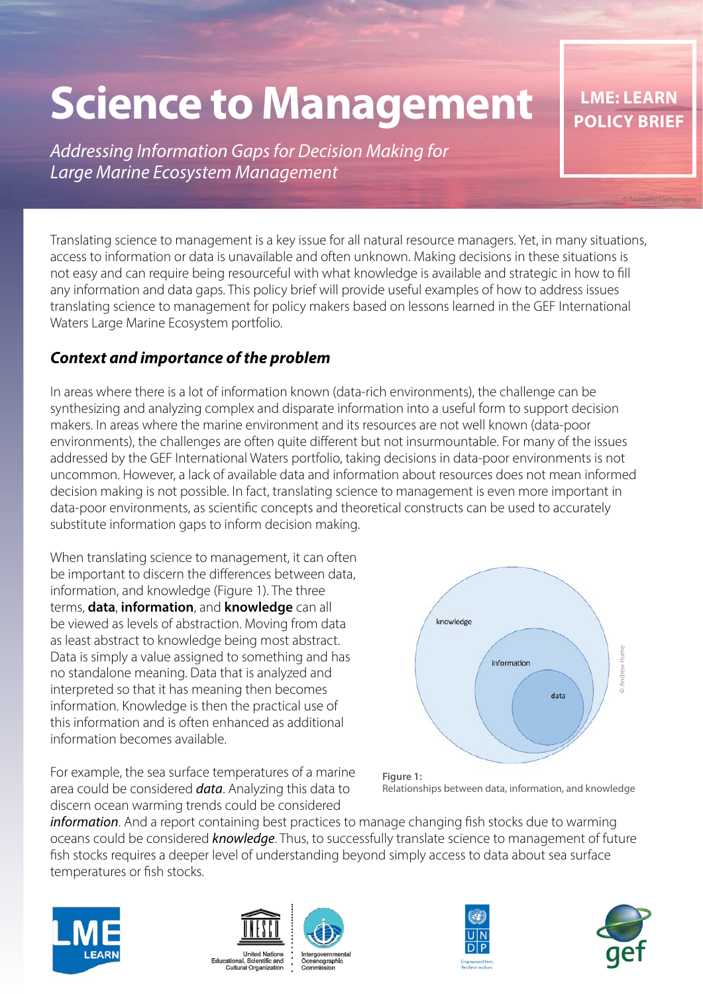# **Science to Management**

*Addressing Information Gaps for Decision Making for Large Marine Ecosystem Management* 

Translating science to management is a key issue for all natural resource managers. Yet, in many situations, access to information or data is unavailable and often unknown. Making decisions in these situations is not easy and can require being resourceful with what knowledge is available and strategic in how to fill any information and data gaps. This policy brief will provide useful examples of how to address issues translating science to management for policy makers based on lessons learned in the GEF International Waters Large Marine Ecosystem portfolio.

#### *Context and importance of the problem*

In areas where there is a lot of information known (data-rich environments), the challenge can be synthesizing and analyzing complex and disparate information into a useful form to support decision makers. In areas where the marine environment and its resources are not well known (data-poor environments), the challenges are often quite different but not insurmountable. For many of the issues addressed by the GEF International Waters portfolio, taking decisions in data-poor environments is not uncommon. However, a lack of available data and information about resources does not mean informed decision making is not possible. In fact, translating science to management is even more important in data-poor environments, as scientific concepts and theoretical constructs can be used to accurately substitute information gaps to inform decision making.

When translating science to management, it can often be important to discern the differences between data, information, and knowledge (Figure 1). The three terms, **data**, **information**, and **knowledge** can all be viewed as levels of abstraction. Moving from data as least abstract to knowledge being most abstract. Data is simply a value assigned to something and has no standalone meaning. Data that is analyzed and interpreted so that it has meaning then becomes information. Knowledge is then the practical use of this information and is often enhanced as additional information becomes available.

For example, the sea surface temperatures of a marine area could be considered *data*. Analyzing this data to discern ocean warming trends could be considered





*information*. And a report containing best practices to manage changing fish stocks due to warming oceans could be considered *knowledge*. Thus, to successfully translate science to management of future fish stocks requires a deeper level of understanding beyond simply access to data about sea surface temperatures or fish stocks.









© Palana997/Gettyimages

**LME: LEARN POLICY BRIEF**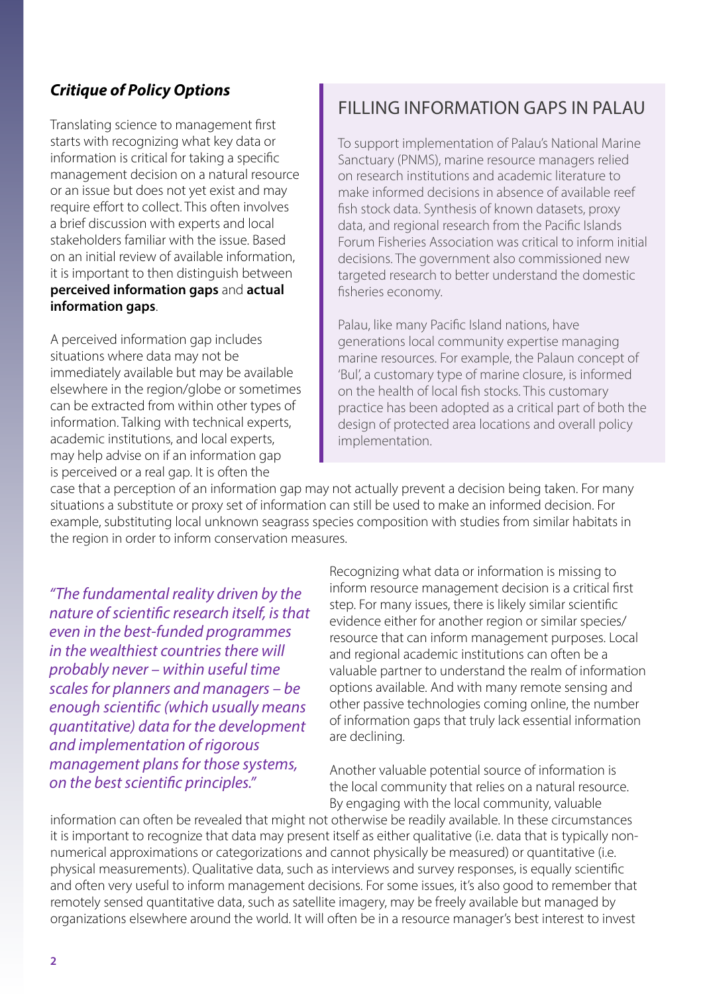#### *Critique of Policy Options*

Translating science to management first starts with recognizing what key data or information is critical for taking a specific management decision on a natural resource or an issue but does not yet exist and may require effort to collect. This often involves a brief discussion with experts and local stakeholders familiar with the issue. Based on an initial review of available information, it is important to then distinguish between **perceived information gaps** and **actual information gaps**.

A perceived information gap includes situations where data may not be immediately available but may be available elsewhere in the region/globe or sometimes can be extracted from within other types of information. Talking with technical experts, academic institutions, and local experts, may help advise on if an information gap is perceived or a real gap. It is often the

# FILLING INFORMATION GAPS IN PALAU

To support implementation of Palau's National Marine Sanctuary (PNMS), marine resource managers relied on research institutions and academic literature to make informed decisions in absence of available reef fish stock data. Synthesis of known datasets, proxy data, and regional research from the Pacific Islands Forum Fisheries Association was critical to inform initial decisions. The government also commissioned new targeted research to better understand the domestic fisheries economy.

Palau, like many Pacific Island nations, have generations local community expertise managing marine resources. For example, the Palaun concept of 'Bul', a customary type of marine closure, is informed on the health of local fish stocks. This customary practice has been adopted as a critical part of both the design of protected area locations and overall policy implementation.

case that a perception of an information gap may not actually prevent a decision being taken. For many situations a substitute or proxy set of information can still be used to make an informed decision. For example, substituting local unknown seagrass species composition with studies from similar habitats in the region in order to inform conservation measures.

*"The fundamental reality driven by the nature of scientific research itself, is that even in the best-funded programmes in the wealthiest countries there will probably never – within useful time scales for planners and managers – be enough scientific (which usually means quantitative) data for the development and implementation of rigorous management plans for those systems, on the best scientific principles."* 

Recognizing what data or information is missing to inform resource management decision is a critical first step. For many issues, there is likely similar scientific evidence either for another region or similar species/ resource that can inform management purposes. Local and regional academic institutions can often be a valuable partner to understand the realm of information options available. And with many remote sensing and other passive technologies coming online, the number of information gaps that truly lack essential information are declining.

Another valuable potential source of information is the local community that relies on a natural resource. By engaging with the local community, valuable

information can often be revealed that might not otherwise be readily available. In these circumstances it is important to recognize that data may present itself as either qualitative (i.e. data that is typically nonnumerical approximations or categorizations and cannot physically be measured) or quantitative (i.e. physical measurements). Qualitative data, such as interviews and survey responses, is equally scientific and often very useful to inform management decisions. For some issues, it's also good to remember that remotely sensed quantitative data, such as satellite imagery, may be freely available but managed by organizations elsewhere around the world. It will often be in a resource manager's best interest to invest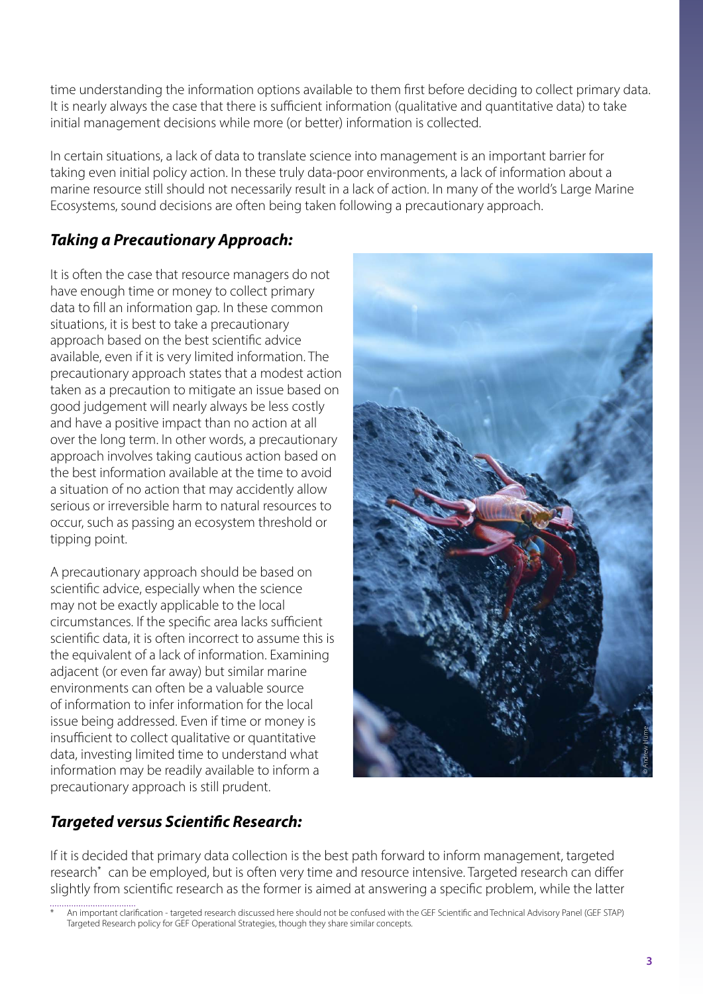time understanding the information options available to them first before deciding to collect primary data. It is nearly always the case that there is sufficient information (qualitative and quantitative data) to take initial management decisions while more (or better) information is collected.

In certain situations, a lack of data to translate science into management is an important barrier for taking even initial policy action. In these truly data-poor environments, a lack of information about a marine resource still should not necessarily result in a lack of action. In many of the world's Large Marine Ecosystems, sound decisions are often being taken following a precautionary approach.

#### *Taking a Precautionary Approach:*

It is often the case that resource managers do not have enough time or money to collect primary data to fill an information gap. In these common situations, it is best to take a precautionary approach based on the best scientific advice available, even if it is very limited information. The precautionary approach states that a modest action taken as a precaution to mitigate an issue based on good judgement will nearly always be less costly and have a positive impact than no action at all over the long term. In other words, a precautionary approach involves taking cautious action based on the best information available at the time to avoid a situation of no action that may accidently allow serious or irreversible harm to natural resources to occur, such as passing an ecosystem threshold or tipping point.

A precautionary approach should be based on scientific advice, especially when the science may not be exactly applicable to the local circumstances. If the specific area lacks sufficient scientific data, it is often incorrect to assume this is the equivalent of a lack of information. Examining adjacent (or even far away) but similar marine environments can often be a valuable source of information to infer information for the local issue being addressed. Even if time or money is insufficient to collect qualitative or quantitative data, investing limited time to understand what information may be readily available to inform a precautionary approach is still prudent.



# *Targeted versus Scientific Research:*

If it is decided that primary data collection is the best path forward to inform management, targeted research<sup>\*</sup> can be employed, but is often very time and resource intensive. Targeted research can differ slightly from scientific research as the former is aimed at answering a specific problem, while the latter

<sup>.............................&</sup>lt;br>An important clarification - targeted research discussed here should not be confused with the GEF Scientific and Technical Advisory Panel (GEF STAP) Targeted Research policy for GEF Operational Strategies, though they share similar concepts.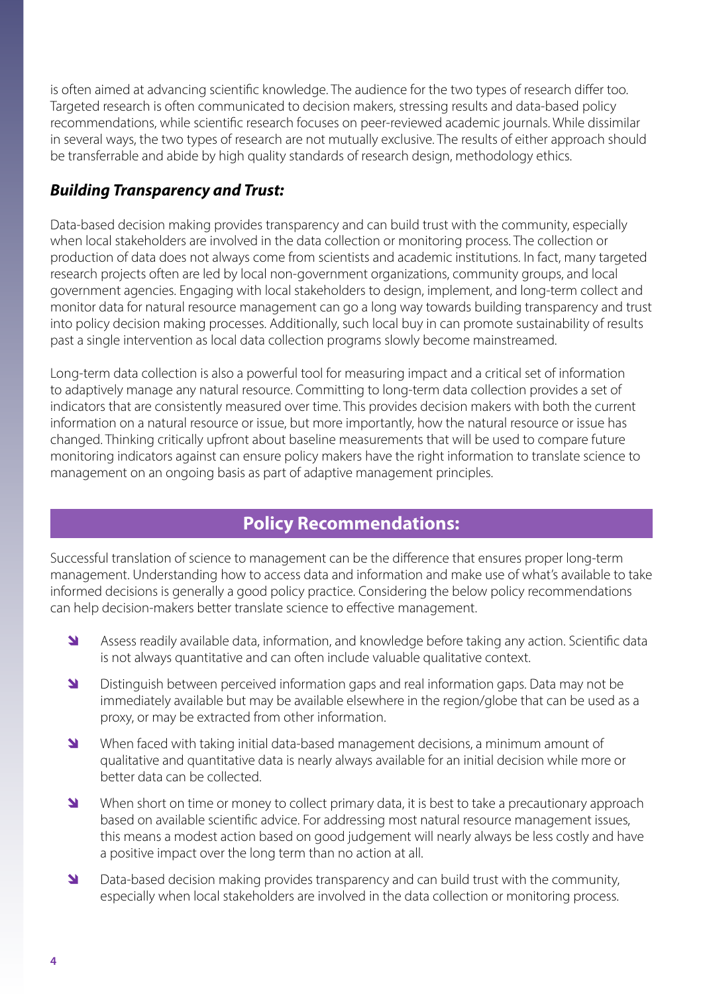is often aimed at advancing scientific knowledge. The audience for the two types of research differ too. Targeted research is often communicated to decision makers, stressing results and data-based policy recommendations, while scientific research focuses on peer-reviewed academic journals. While dissimilar in several ways, the two types of research are not mutually exclusive. The results of either approach should be transferrable and abide by high quality standards of research design, methodology ethics.

#### *Building Transparency and Trust:*

Data-based decision making provides transparency and can build trust with the community, especially when local stakeholders are involved in the data collection or monitoring process. The collection or production of data does not always come from scientists and academic institutions. In fact, many targeted research projects often are led by local non-government organizations, community groups, and local government agencies. Engaging with local stakeholders to design, implement, and long-term collect and monitor data for natural resource management can go a long way towards building transparency and trust into policy decision making processes. Additionally, such local buy in can promote sustainability of results past a single intervention as local data collection programs slowly become mainstreamed.

Long-term data collection is also a powerful tool for measuring impact and a critical set of information to adaptively manage any natural resource. Committing to long-term data collection provides a set of indicators that are consistently measured over time. This provides decision makers with both the current information on a natural resource or issue, but more importantly, how the natural resource or issue has changed. Thinking critically upfront about baseline measurements that will be used to compare future monitoring indicators against can ensure policy makers have the right information to translate science to management on an ongoing basis as part of adaptive management principles.

# **Policy Recommendations:**

Successful translation of science to management can be the difference that ensures proper long-term management. Understanding how to access data and information and make use of what's available to take informed decisions is generally a good policy practice. Considering the below policy recommendations can help decision-makers better translate science to effective management.

- **I** Assess readily available data, information, and knowledge before taking any action. Scientific data is not always quantitative and can often include valuable qualitative context.
- **I** Distinguish between perceived information gaps and real information gaps. Data may not be immediately available but may be available elsewhere in the region/globe that can be used as a proxy, or may be extracted from other information.
- N When faced with taking initial data-based management decisions, a minimum amount of qualitative and quantitative data is nearly always available for an initial decision while more or better data can be collected.
- N When short on time or money to collect primary data, it is best to take a precautionary approach based on available scientific advice. For addressing most natural resource management issues, this means a modest action based on good judgement will nearly always be less costly and have a positive impact over the long term than no action at all.
- **I** Data-based decision making provides transparency and can build trust with the community, especially when local stakeholders are involved in the data collection or monitoring process.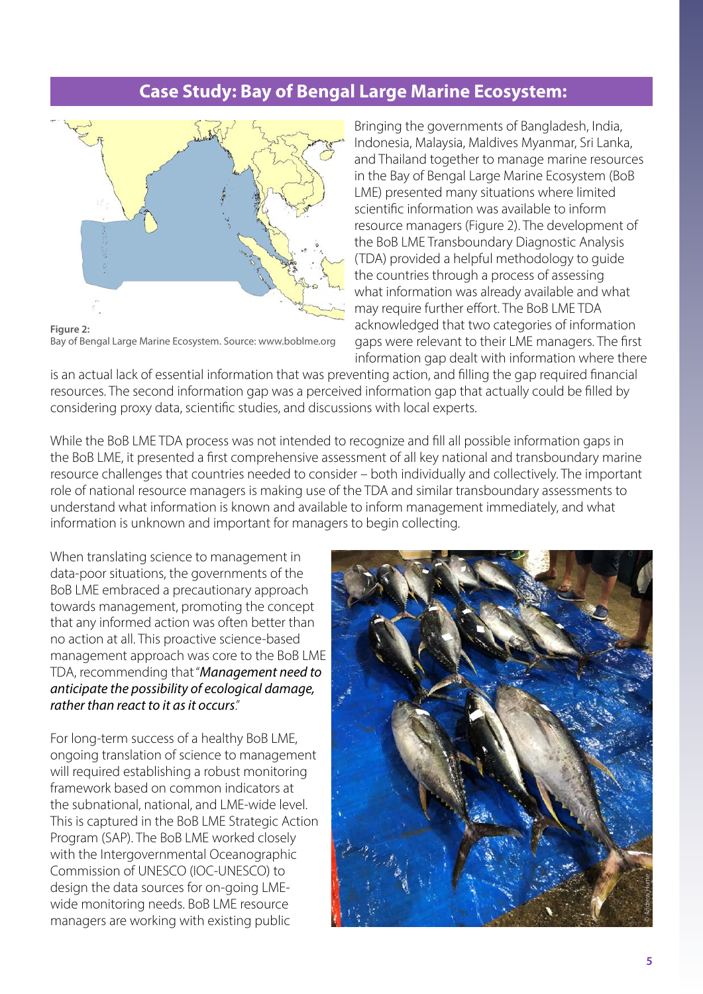# **Case Study: Bay of Bengal Large Marine Ecosystem:**



**Figure 2:**  Bay of Bengal Large Marine Ecosystem. Source: www.boblme.org

Bringing the governments of Bangladesh, India, Indonesia, Malaysia, Maldives Myanmar, Sri Lanka, and Thailand together to manage marine resources in the Bay of Bengal Large Marine Ecosystem (BoB LME) presented many situations where limited scientific information was available to inform resource managers (Figure 2). The development of the BoB LME Transboundary Diagnostic Analysis (TDA) provided a helpful methodology to guide the countries through a process of assessing what information was already available and what may require further effort. The BoB LME TDA acknowledged that two categories of information gaps were relevant to their LME managers. The first information gap dealt with information where there

is an actual lack of essential information that was preventing action, and filling the gap required financial resources. The second information gap was a perceived information gap that actually could be filled by considering proxy data, scientific studies, and discussions with local experts.

While the BoB LME TDA process was not intended to recognize and fill all possible information gaps in the BoB LME, it presented a first comprehensive assessment of all key national and transboundary marine resource challenges that countries needed to consider – both individually and collectively. The important role of national resource managers is making use of the TDA and similar transboundary assessments to understand what information is known and available to inform management immediately, and what information is unknown and important for managers to begin collecting.

When translating science to management in data-poor situations, the governments of the BoB LME embraced a precautionary approach towards management, promoting the concept that any informed action was often better than no action at all. This proactive science-based management approach was core to the BoB LME TDA, recommending that "*Management need to anticipate the possibility of ecological damage, rather than react to it as it occurs*."

For long-term success of a healthy BoB LME, ongoing translation of science to management will required establishing a robust monitoring framework based on common indicators at the subnational, national, and LME-wide level. This is captured in the BoB LME Strategic Action Program (SAP). The BoB LME worked closely with the Intergovernmental Oceanographic Commission of UNESCO (IOC-UNESCO) to design the data sources for on-going LMEwide monitoring needs. BoB LME resource managers are working with existing public

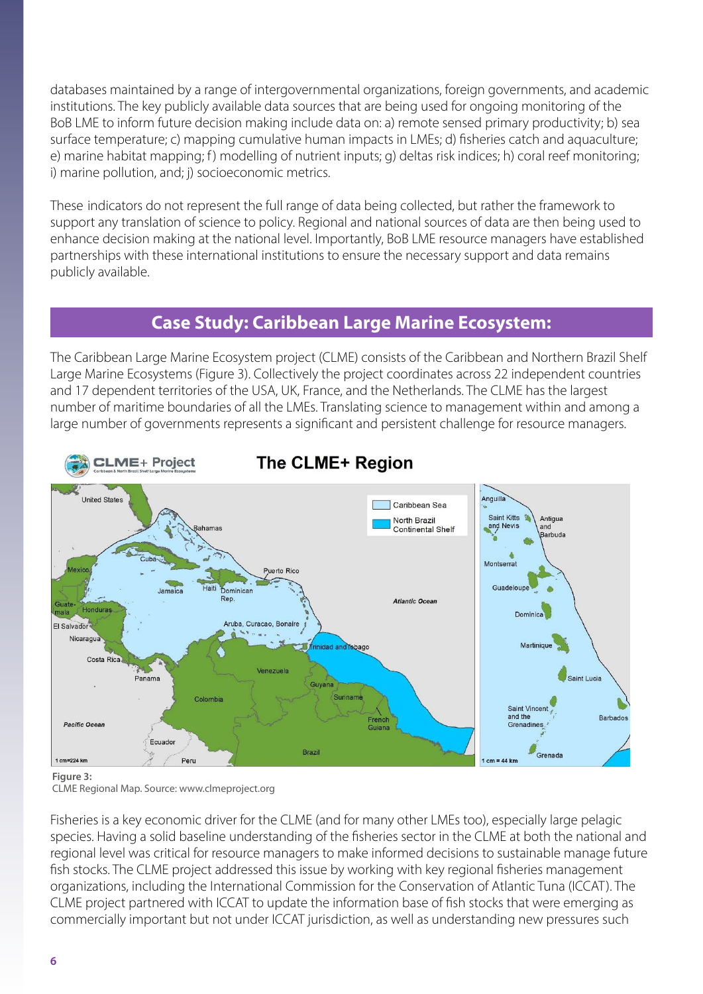databases maintained by a range of intergovernmental organizations, foreign governments, and academic institutions. The key publicly available data sources that are being used for ongoing monitoring of the BoB LME to inform future decision making include data on: a) remote sensed primary productivity; b) sea surface temperature; c) mapping cumulative human impacts in LMEs; d) fisheries catch and aquaculture; e) marine habitat mapping; f) modelling of nutrient inputs; g) deltas risk indices; h) coral reef monitoring; i) marine pollution, and; j) socioeconomic metrics.

These indicators do not represent the full range of data being collected, but rather the framework to support any translation of science to policy. Regional and national sources of data are then being used to enhance decision making at the national level. Importantly, BoB LME resource managers have established partnerships with these international institutions to ensure the necessary support and data remains publicly available.

#### **Case Study: Caribbean Large Marine Ecosystem:**

The Caribbean Large Marine Ecosystem project (CLME) consists of the Caribbean and Northern Brazil Shelf Large Marine Ecosystems (Figure 3). Collectively the project coordinates across 22 independent countries and 17 dependent territories of the USA, UK, France, and the Netherlands. The CLME has the largest number of maritime boundaries of all the LMEs. Translating science to management within and among a large number of governments represents a significant and persistent challenge for resource managers.



# **The CLME+ Region**

#### **Figure 3:**

CLME Regional Map. Source: www.clmeproject.org

Fisheries is a key economic driver for the CLME (and for many other LMEs too), especially large pelagic species. Having a solid baseline understanding of the fisheries sector in the CLME at both the national and regional level was critical for resource managers to make informed decisions to sustainable manage future fish stocks. The CLME project addressed this issue by working with key regional fisheries management organizations, including the International Commission for the Conservation of Atlantic Tuna (ICCAT). The CLME project partnered with ICCAT to update the information base of fish stocks that were emerging as commercially important but not under ICCAT jurisdiction, as well as understanding new pressures such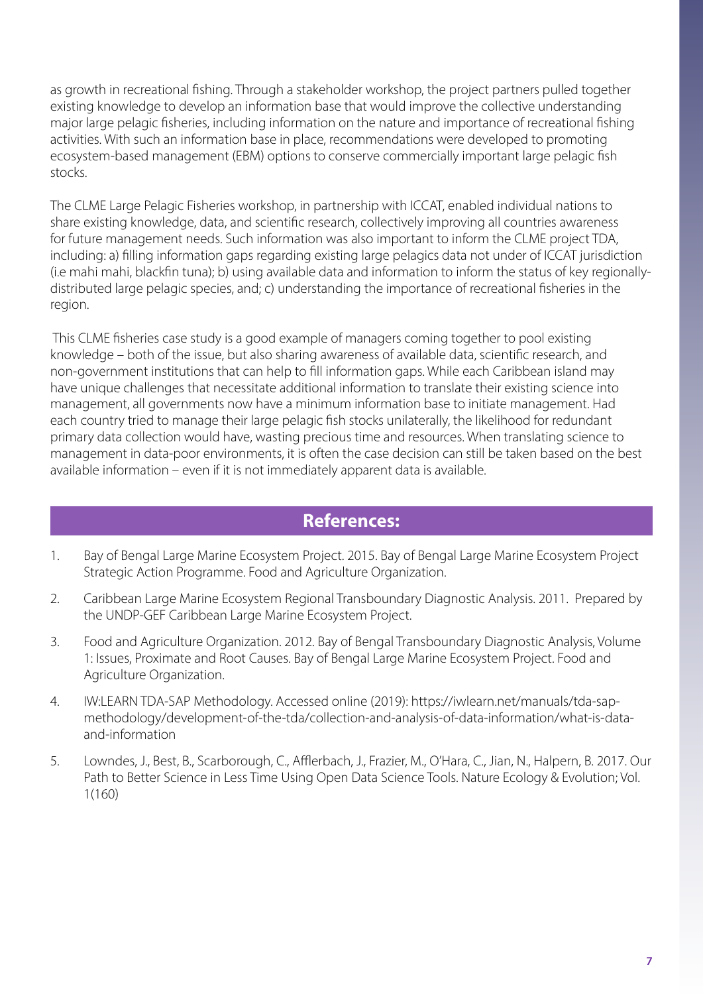as growth in recreational fishing. Through a stakeholder workshop, the project partners pulled together existing knowledge to develop an information base that would improve the collective understanding major large pelagic fisheries, including information on the nature and importance of recreational fishing activities. With such an information base in place, recommendations were developed to promoting ecosystem-based management (EBM) options to conserve commercially important large pelagic fish stocks.

The CLME Large Pelagic Fisheries workshop, in partnership with ICCAT, enabled individual nations to share existing knowledge, data, and scientific research, collectively improving all countries awareness for future management needs. Such information was also important to inform the CLME project TDA, including: a) filling information gaps regarding existing large pelagics data not under of ICCAT jurisdiction (i.e mahi mahi, blackfin tuna); b) using available data and information to inform the status of key regionallydistributed large pelagic species, and; c) understanding the importance of recreational fisheries in the region.

 This CLME fisheries case study is a good example of managers coming together to pool existing knowledge – both of the issue, but also sharing awareness of available data, scientific research, and non-government institutions that can help to fill information gaps. While each Caribbean island may have unique challenges that necessitate additional information to translate their existing science into management, all governments now have a minimum information base to initiate management. Had each country tried to manage their large pelagic fish stocks unilaterally, the likelihood for redundant primary data collection would have, wasting precious time and resources. When translating science to management in data-poor environments, it is often the case decision can still be taken based on the best available information – even if it is not immediately apparent data is available.

#### **References:**

- 1. Bay of Bengal Large Marine Ecosystem Project. 2015. Bay of Bengal Large Marine Ecosystem Project Strategic Action Programme. Food and Agriculture Organization.
- 2. Caribbean Large Marine Ecosystem Regional Transboundary Diagnostic Analysis. 2011. Prepared by the UNDP-GEF Caribbean Large Marine Ecosystem Project.
- 3. Food and Agriculture Organization. 2012. Bay of Bengal Transboundary Diagnostic Analysis, Volume 1: Issues, Proximate and Root Causes. Bay of Bengal Large Marine Ecosystem Project. Food and Agriculture Organization.
- 4. IW:LEARN TDA-SAP Methodology. Accessed online (2019): https://iwlearn.net/manuals/tda-sapmethodology/development-of-the-tda/collection-and-analysis-of-data-information/what-is-dataand-information
- 5. Lowndes, J., Best, B., Scarborough, C., Afflerbach, J., Frazier, M., O'Hara, C., Jian, N., Halpern, B. 2017. Our Path to Better Science in Less Time Using Open Data Science Tools. Nature Ecology & Evolution; Vol. 1(160)